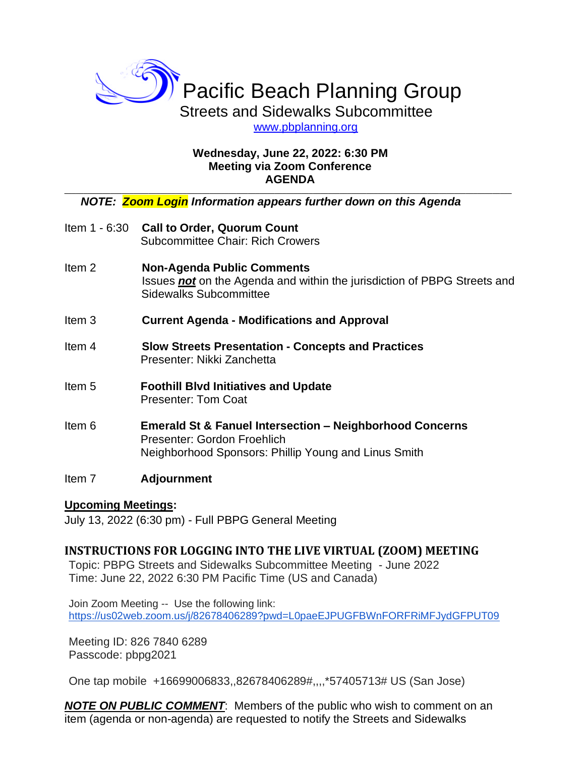

[www.pbplanning.org](http://www.pbplanning.org/) 

## **Wednesday, June 22, 2022: 6:30 PM Meeting via Zoom Conference AGENDA**

**\_\_\_\_\_\_\_\_\_\_\_\_\_\_\_\_\_\_\_\_\_\_\_\_\_\_\_\_\_\_\_\_\_\_\_\_\_\_\_\_\_\_\_\_\_\_\_\_\_\_\_\_\_\_\_\_\_\_\_\_\_\_\_\_\_\_\_\_\_\_\_\_\_\_\_\_\_\_\_\_\_\_\_\_\_\_\_\_\_\_\_\_\_\_\_\_\_\_\_\_\_\_\_\_\_\_\_\_\_\_\_\_\_\_\_\_\_**

## *NOTE: Zoom Login Information appears further down on this Agenda*

- Item 1 6:30 **Call to Order, Quorum Count** Subcommittee Chair: Rich Crowers
- Item 2 **Non-Agenda Public Comments** Issues *not* on the Agenda and within the jurisdiction of PBPG Streets and Sidewalks Subcommittee
- Item 3 **Current Agenda - Modifications and Approval**
- Item 4 **Slow Streets Presentation - Concepts and Practices** Presenter: Nikki Zanchetta
- Item 5 **Foothill Blvd Initiatives and Update** Presenter: Tom Coat
- Item 6 **Emerald St & Fanuel Intersection – Neighborhood Concerns** Presenter: Gordon Froehlich Neighborhood Sponsors: Phillip Young and Linus Smith

# Item 7 **Adjournment**

# **Upcoming Meetings:**

July 13, 2022 (6:30 pm) - Full PBPG General Meeting

# **INSTRUCTIONS FOR LOGGING INTO THE LIVE VIRTUAL (ZOOM) MEETING**

Topic: PBPG Streets and Sidewalks Subcommittee Meeting - June 2022 Time: June 22, 2022 6:30 PM Pacific Time (US and Canada)

Join Zoom Meeting -- Use the following link: <https://us02web.zoom.us/j/82678406289?pwd=L0paeEJPUGFBWnFORFRiMFJydGFPUT09>

Meeting ID: 826 7840 6289 Passcode: pbpg2021

One tap mobile +16699006833,,82678406289#,,,,\*57405713# US (San Jose)

*NOTE ON PUBLIC COMMENT*: Members of the public who wish to comment on an item (agenda or non-agenda) are requested to notify the Streets and Sidewalks